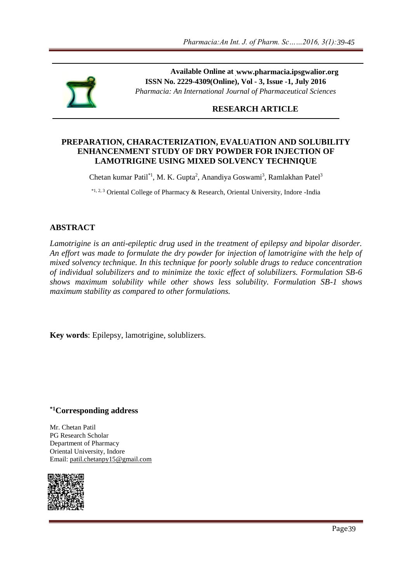

Available Online at www.pharmacia.ipsgwalior.org **ISSN No. 2229-4309(Online), Vol - 3, Issue -1, July 2016** *Pharmacia: An International Journal of Pharmaceutical Sciences*

#### **RESEARCH ARTICLE**

#### **PREPARATION, CHARACTERIZATION, EVALUATION AND SOLUBILITY ENHANCENMENT STUDY OF DRY POWDER FOR INJECTION OF LAMOTRIGINE USING MIXED SOLVENCY TECHNIQUE**

Chetan kumar Patil<sup>\*1</sup>, M. K. Gupta<sup>2</sup>, Anandiya Goswami<sup>3</sup>, Ramlakhan Patel<sup>3</sup>

\*1, 2, 3 Oriental College of Pharmacy & Research, Oriental University, Indore -India

#### **ABSTRACT**

*Lamotrigine is an anti-epileptic drug used in the treatment of epilepsy and bipolar disorder. An effort was made to formulate the dry powder for injection of lamotrigine with the help of mixed solvency technique. In this technique for poorly soluble drugs to reduce concentration of individual solubilizers and to minimize the toxic effect of solubilizers. Formulation SB-6 shows maximum solubility while other shows less solubility. Formulation SB-1 shows maximum stability as compared to other formulations.* www.pharmacia.ipsgwalior.org<br>
1, Vol - 3, Issue -1, July 2016<br>
Final of Pharmaceutical Sciences<br> **ARCH ARTICLE**<br> **ARCH ARTICLE**<br> **LUATION AND SOLUBILITY**<br>
DER FOR INJECTION OF<br>
VENCY TECHNIQUE<br>
For Price Translation Spectr

**Key words**: Epilepsy, lamotrigine, solublizers.

#### **\*1Corresponding address**

Mr. Chetan Patil PG Research Scholar Department of Pharmacy Oriental University, Indore Email: [patil.chetanpy15@gmail.com](mailto:patil.chetanpy15@gmail.com)

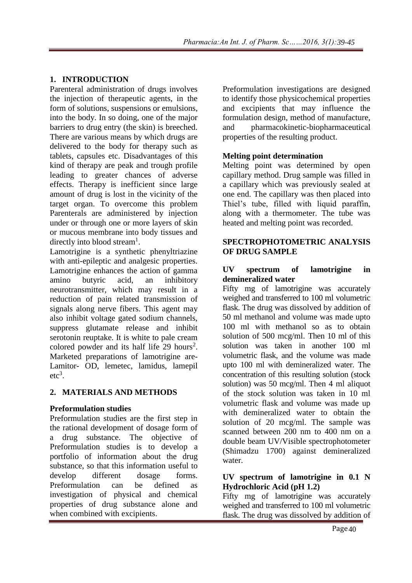## **1. INTRODUCTION**

Parenteral administration of drugs involves the injection of therapeutic agents, in the form of solutions, suspensions or emulsions, into the body. In so doing, one of the major barriers to drug entry (the skin) is breeched. There are various means by which drugs are delivered to the body for therapy such as tablets, capsules etc. Disadvantages of this kind of therapy are peak and trough profile leading to greater chances of adverse effects. Therapy is inefficient since large amount of drug is lost in the vicinity of the target organ. To overcome this problem Parenterals are administered by injection under or through one or more layers of skin or mucous membrane into body tissues and directly into blood stream<sup>1</sup>.

Lamotrigine is a synthetic phenyltriazine with anti-epileptic and analgesic properties. Lamotrigine enhances the action of gamma amino butyric acid, an inhibitory neurotransmitter, which may result in a reduction of pain related transmission of signals along nerve fibers. This agent may also inhibit voltage gated sodium channels, suppress glutamate release and inhibit serotonin reuptake. It is white to pale cream colored powder and its half life 29 hours<sup>2</sup>. Marketed preparations of lamotrigine are-Lamitor- OD, lemetec, lamidus, lamepil  $etc<sup>3</sup>$ .

## **2. MATERIALS AND METHODS**

## **Preformulation studies**

Preformulation studies are the first step in the rational development of dosage form of a drug substance. The objective of Preformulation studies is to develop a portfolio of information about the drug substance, so that this information useful to develop different dosage forms. Preformulation can be defined as investigation of physical and chemical properties of drug substance alone and when combined with excipients.

Preformulation investigations are designed to identify those physicochemical properties and excipients that may influence the formulation design, method of manufacture, and pharmacokinetic-biopharmaceutical properties of the resulting product.

## **Melting point determination**

Melting point was determined by open capillary method. Drug sample was filled in a capillary which was previously sealed at one end. The capillary was then placed into Thiel's tube, filled with liquid paraffin, along with a thermometer. The tube was heated and melting point was recorded.

### **SPECTROPHOTOMETRIC ANALYSIS OF DRUG SAMPLE**

### **UV spectrum of lamotrigine in demineralized water**

Fifty mg of lamotrigine was accurately weighed and transferred to 100 ml volumetric flask. The drug was dissolved by addition of 50 ml methanol and volume was made upto 100 ml with methanol so as to obtain solution of 500 mcg/ml. Then 10 ml of this solution was taken in another 100 ml volumetric flask, and the volume was made upto 100 ml with demineralized water. The concentration of this resulting solution (stock solution) was 50 mcg/ml. Then 4 ml aliquot of the stock solution was taken in 10 ml volumetric flask and volume was made up with demineralized water to obtain the solution of 20 mcg/ml. The sample was scanned between 200 nm to 400 nm on a double beam UV/Visible spectrophotometer (Shimadzu 1700) against demineralized water.

#### **UV spectrum of lamotrigine in 0.1 N Hydrochloric Acid (pH 1.2)**

Fifty mg of lamotrigine was accurately weighed and transferred to 100 ml volumetric flask. The drug was dissolved by addition of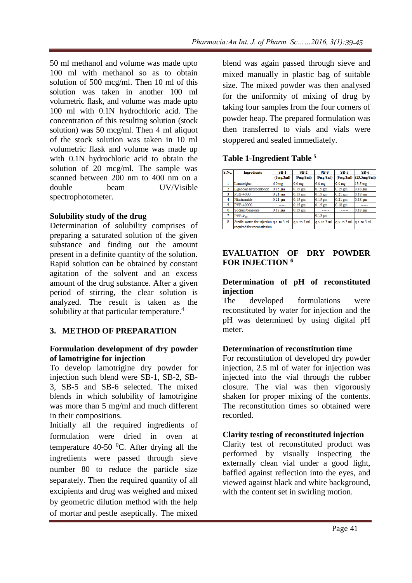50 ml methanol and volume was made upto 100 ml with methanol so as to obtain solution of 500 mcg/ml. Then 10 ml of this solution was taken in another 100 ml volumetric flask, and volume was made upto 100 ml with 0.1N hydrochloric acid. The concentration of this resulting solution (stock solution) was 50 mcg/ml. Then 4 ml aliquot of the stock solution was taken in 10 ml volumetric flask and volume was made up with 0.1N hydrochloric acid to obtain the solution of 20 mcg/ml. The sample was scanned between 200 nm to 400 nm on a double beam UV/Visible spectrophotometer.

## **Solubility study of the drug**

Determination of solubility comprises of preparing a saturated solution of the given substance and finding out the amount present in a definite quantity of the solution. Rapid solution can be obtained by constant agitation of the solvent and an excess amount of the drug substance. After a given period of stirring, the clear solution is analyzed. The result is taken as the solubility at that particular temperature.<sup>4</sup>

## **3. METHOD OF PREPARATION**

## **Formulation development of dry powder of lamotrigine for injection**

To develop lamotrigine dry powder for injection such blend were SB-1, SB-2, SB-3, SB-5 and SB-6 selected. The mixed blends in which solubility of lamotrigine was more than 5 mg/ml and much different in their compositions.

Initially all the required ingredients of formulation were dried in oven at temperature 40-50  $^{\circ}$ C. After drying all the ingredients were passed through sieve number 80 to reduce the particle size separately. Then the required quantity of all excipients and drug was weighed and mixed by geometric dilution method with the help of mortar and pestle aseptically. The mixed blend was again passed through sieve and mixed manually in plastic bag of suitable size. The mixed powder was then analysed for the uniformity of mixing of drug by taking four samples from the four corners of powder heap. The prepared formulation was then transferred to vials and vials were stoppered and sealed immediately.

# **Table 1-Ingredient Table <sup>5</sup>**

| S.No.          | <b>Ingredients</b>                                                      | $SB-1$            | $SB-2$            | $SB-3$            | <b>SB-5</b>      | $SB-6$            |
|----------------|-------------------------------------------------------------------------|-------------------|-------------------|-------------------|------------------|-------------------|
|                |                                                                         | (6mg/3m)          | (9mg/3m)          | (9mg/3m)          | (9mg/3ml)        | (13.5mg/3m)       |
| -1             | Lamotrigine                                                             | 6.0 <sub>mg</sub> | 9.0 <sub>mg</sub> | 9.0 <sub>mg</sub> | $9.0 \text{ mg}$ | $13.5 \text{ mg}$ |
| $\overline{2}$ | Lignocain hydrochloride                                                 | $0.15$ gm         | $0.15$ gm         | $0.15$ sm         | $0.15$ gm        | $0.18$ gm         |
| 3              | <b>PEG-4000</b>                                                         | $0.21$ gm         | $0.15$ gm         | $0.15$ gm         | $0.21$ gm        | $0.18$ gm         |
| 4              | Niacinamide                                                             | $0.21$ gm         | $0.15$ gm         | $0.15$ gm         | $0.21$ gm        | $0.18$ gm         |
| 5              | <b>PVP-40000</b>                                                        | -----             | $0.15$ gm         | $0.15$ gm         | $0.18$ gm        |                   |
| 6              | Sodium benzoate                                                         | $0.18$ gm         | $0.15$ gm         | -----             | -----            | $0.18$ gm         |
| 7              | $PVP - k90$                                                             | -----             | -----             | $0.15$ gm         | -----            | -----             |
| 8              | Sterile water for injection q.s. to 3 ml<br>required for reconstitution |                   | $q.s.$ to $3 ml$  | $q.s.$ to $3 ml$  | $q.s.$ to $3 ml$ | $q.s.$ to $3 ml$  |

## **EVALUATION OF DRY POWDER FOR INJECTION <sup>6</sup>**

## **Determination of pH of reconstituted injection**

The developed formulations were reconstituted by water for injection and the pH was determined by using digital pH meter.

# **Determination of reconstitution time**

For reconstitution of developed dry powder injection, 2.5 ml of water for injection was injected into the vial through the rubber closure. The vial was then vigorously shaken for proper mixing of the contents. The reconstitution times so obtained were recorded.

## **Clarity testing of reconstituted injection**

Clarity test of reconstituted product was performed by visually inspecting the externally clean vial under a good light, baffled against reflection into the eyes, and viewed against black and white background, with the content set in swirling motion.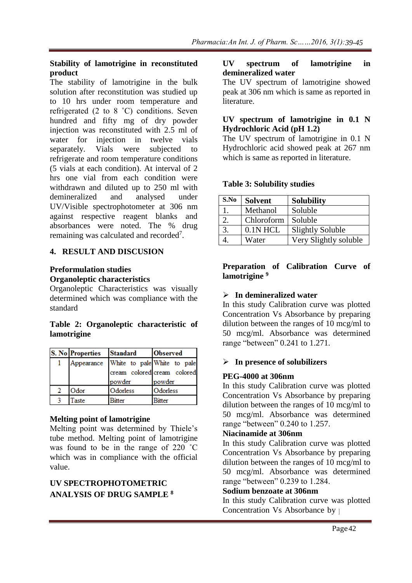## **Stability of lamotrigine in reconstituted product**

The stability of lamotrigine in the bulk solution after reconstitution was studied up to 10 hrs under room temperature and refrigerated (2 to 8 ˚C) conditions. Seven hundred and fifty mg of dry powder injection was reconstituted with 2.5 ml of water for injection in twelve vials separately. Vials were subjected to refrigerate and room temperature conditions (5 vials at each condition). At interval of 2 hrs one vial from each condition were withdrawn and diluted up to 250 ml with demineralized and analysed under UV/Visible spectrophotometer at 306 nm against respective reagent blanks and absorbances were noted. The % drug remaining was calculated and recorded<sup>7</sup>.

## **4. RESULT AND DISCUSION**

#### **Preformulation studies Organoleptic characteristics**

Organoleptic Characteristics was visually determined which was compliance with the standard

## **Table 2: Organoleptic characteristic of lamotrigine**

| <b>S. No Properties</b> | <b>Standard</b> | <b>Observed</b>             |  |  |  |  |
|-------------------------|-----------------|-----------------------------|--|--|--|--|
| Appearance              |                 | White to pale White to pale |  |  |  |  |
|                         |                 | cream colored cream colored |  |  |  |  |
|                         | powder          | powder                      |  |  |  |  |
| Odor                    | Odorless        | Odorless                    |  |  |  |  |
| laste                   | Bitter          | Bitter                      |  |  |  |  |

## **Melting point of lamotrigine**

Melting point was determined by Thiele's tube method. Melting point of lamotrigine was found to be in the range of 220 ˚C which was in compliance with the official value.

# **UV SPECTROPHOTOMETRIC ANALYSIS OF DRUG SAMPLE <sup>8</sup>**

#### **UV spectrum of lamotrigine in demineralized water**

The UV spectrum of lamotrigine showed peak at 306 nm which is same as reported in literature.

## **UV spectrum of lamotrigine in 0.1 N Hydrochloric Acid (pH 1.2)**

The UV spectrum of lamotrigine in 0.1 N Hydrochloric acid showed peak at 267 nm which is same as reported in literature.

# **Table 3: Solubility studies**

| S.No | <b>Solvent</b> | <b>Solubility</b>       |
|------|----------------|-------------------------|
|      | Methanol       | Soluble                 |
|      | Chloroform     | Soluble                 |
| 3.   | $0.1N$ HCL     | <b>Slightly Soluble</b> |
|      | Water          | Very Slightly soluble   |

### **Preparation of Calibration Curve of lamotrigine <sup>9</sup>**

# **In demineralized water**

In this study Calibration curve was plotted Concentration Vs Absorbance by preparing dilution between the ranges of 10 mcg/ml to 50 mcg/ml. Absorbance was determined range "between" 0.241 to 1.271.

# **In presence of solubilizers**

# **PEG-4000 at 306nm**

In this study Calibration curve was plotted Concentration Vs Absorbance by preparing dilution between the ranges of 10 mcg/ml to 50 mcg/ml. Absorbance was determined range "between" 0.240 to 1.257.

## **Niacinamide at 306nm**

In this study Calibration curve was plotted Concentration Vs Absorbance by preparing dilution between the ranges of 10 mcg/ml to 50 mcg/ml. Absorbance was determined range "between" 0.239 to 1.284.

## **Sodium benzoate at 306nm**

In this study Calibration curve was plotted Concentration Vs Absorbance by  $\uparrow$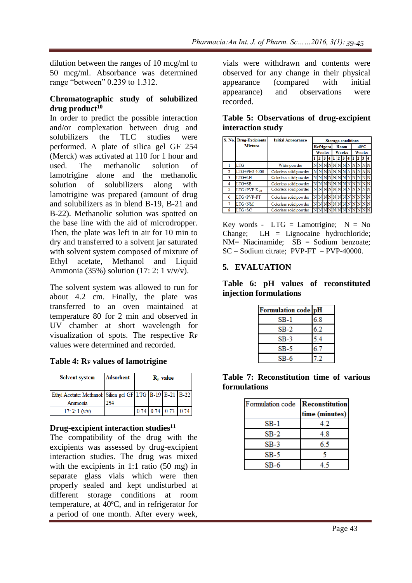dilution between the ranges of 10 mcg/ml to 50 mcg/ml. Absorbance was determined range "between" 0.239 to 1.312.

### **Chromatographic study of solubilized drug product<sup>10</sup>**

In order to predict the possible interaction and/or complexation between drug and solubilizers the TLC studies were performed. A plate of silica gel GF 254 (Merck) was activated at 110 for 1 hour and used. The methanolic solution of lamotrigine alone and the methanolic solution of solubilizers along with lamotrigine was prepared (amount of drug and solubilizers as in blend B-19, B-21 and B-22). Methanolic solution was spotted on the base line with the aid of microdropper. Then, the plate was left in air for 10 min to dry and transferred to a solvent jar saturated with solvent system composed of mixture of Ethyl acetate, Methanol and Liquid Ammonia (35%) solution (17: 2: 1 v/v/v).

The solvent system was allowed to run for about 4.2 cm. Finally, the plate was transferred to an oven maintained at temperature 80 for 2 min and observed in UV chamber at short wavelength for visualization of spots. The respective R<sup>F</sup> values were determined and recorded.

|  |  | Table 4: RF values of lamotrigine |
|--|--|-----------------------------------|
|  |  |                                   |

| <b>Solvent system</b>                                           | <b>Adsorbent</b> | $R_F$ value |  |                       |  |
|-----------------------------------------------------------------|------------------|-------------|--|-----------------------|--|
| Ethyl Acetate: Methanol: Silica gel GF LTG   B-19   B-21   B-22 |                  |             |  |                       |  |
| Ammonia                                                         | 254              |             |  |                       |  |
| $17:2:1$ (v/v)                                                  |                  |             |  | $0.74$ 0.74 0.73 0.74 |  |

## **Drug-excipient interaction studies<sup>11</sup>**

The compatibility of the drug with the excipients was assessed by drug-excipient interaction studies. The drug was mixed with the excipients in 1:1 ratio (50 mg) in separate glass vials which were then properly sealed and kept undisturbed at different storage conditions at room temperature, at 40ºC, and in refrigerator for a period of one month. After every week,

vials were withdrawn and contents were observed for any change in their physical appearance (compared with initial appearance) and observations were recorded.

|                | <b>S. No. Drug-Excipients</b> | <b>Initial Appearance</b> | <b>Storage conditions</b> |                  |  |  |      |            |    |                |       |  |  |  |
|----------------|-------------------------------|---------------------------|---------------------------|------------------|--|--|------|------------|----|----------------|-------|--|--|--|
|                | <b>Mixture</b>                |                           |                           | <b>Refrigera</b> |  |  | Room |            |    | $40^{\circ}$ C |       |  |  |  |
|                |                               |                           |                           | Weeks            |  |  |      | Weeks      |    |                | Weeks |  |  |  |
|                |                               |                           |                           |                  |  |  |      |            |    |                |       |  |  |  |
|                | <b>LTG</b>                    | White powder              |                           |                  |  |  |      | $N \N N$   | NN |                |       |  |  |  |
| $\overline{2}$ | LTG+PEG 4000                  | Colorless solid powder    |                           | NN               |  |  |      | NNNNN      |    |                |       |  |  |  |
| 3              | $LTG+LH$                      | Colorless solid powder    |                           | N                |  |  |      |            | NN |                |       |  |  |  |
| 4              | $LTG+SB$                      | Colorless solid powder    |                           | N <sub>N</sub>   |  |  |      |            |    |                |       |  |  |  |
| 5              | $LTG+PVP K90$                 | Colorless solid powder    |                           |                  |  |  |      |            |    |                |       |  |  |  |
| 6              | LTG+PVP-FT                    | Colorless solid powder    |                           | <b>NN</b>        |  |  |      | <b>NNN</b> |    |                |       |  |  |  |
| 7              | LTG+NM                        | Colorless solid powder    |                           | N                |  |  |      | NN N N N N |    |                |       |  |  |  |
| 8              | $LTG+SC$                      | Colorless solid powder    |                           |                  |  |  |      |            |    |                |       |  |  |  |

|  |                   | Table 5: Observations of drug-excipient |
|--|-------------------|-----------------------------------------|
|  | interaction study |                                         |

Key words -  $LTG =$  Lamotrigine;  $N = No$ Change; LH = Lignocaine hydrochloride;  $NM = Ni$ acinamide;  $SB =$  Sodium benzoate;  $SC =$  Sodium citrate: PVP-FT = PVP-40000.

## **5. EVALUATION**

**Table 6: pH values of reconstituted injection formulations**

| Formulation code pH |     |
|---------------------|-----|
| SB-1                | 6.8 |
| $SB-2$              | 6.2 |
| SB-3                | 54  |
| SB-5                | 6.7 |
| SB-6                |     |

|              | Table 7: Reconstitution time of various |  |  |
|--------------|-----------------------------------------|--|--|
| formulations |                                         |  |  |

| Formulation code Reconstitution |                |
|---------------------------------|----------------|
|                                 | time (minutes) |
| $SB-1$                          | 42             |
| $SB-2$                          | 4.8            |
| $SB-3$                          | 6.5            |
| $SB-5$                          |                |
| $SB-6$                          |                |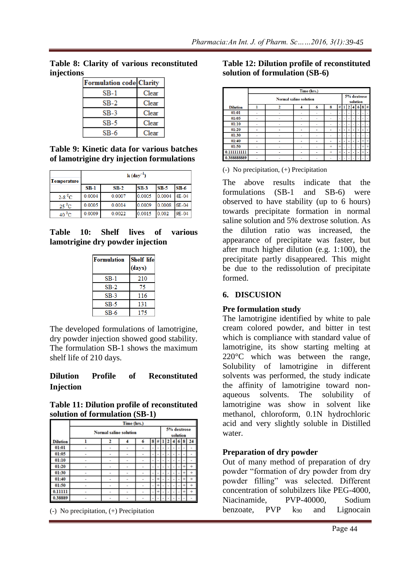**Table 8: Clarity of various reconstituted injections**

| <b>Formulation code Clarity</b> |       |
|---------------------------------|-------|
| SB-1                            | Clear |
| SB-2                            | Clear |
| $SB-3$                          | Clear |
| $SB-5$                          | Clear |
| SB-6                            | Clear |

**Table 9: Kinetic data for various batches of lamotrigine dry injection formulations**

| <b>Temperature</b>   | $k$ (day <sup>-1</sup> ) |        |        |        |         |  |  |  |  |
|----------------------|--------------------------|--------|--------|--------|---------|--|--|--|--|
|                      | $SB-1$                   | $SB-2$ | $SB-3$ | $SB-5$ | $SB-6$  |  |  |  |  |
| $2-8$ <sup>o</sup> C | 0.0004                   | 0.0007 | 0.0005 | 0.0004 | $4E-04$ |  |  |  |  |
| $25\,^0$ C           | 0.0005                   | 0.0014 | 0.0009 | 0.0008 | 6E-04   |  |  |  |  |
| $40^{\circ}$ C       | 0.0009                   | 0.0022 | 0.0015 | 0.002  | 9E-04   |  |  |  |  |

**Table 10: Shelf lives of various lamotrigine dry powder injection**

| Formulation | <b>Shelf life</b><br>(days) |
|-------------|-----------------------------|
| $SB-1$      | 210                         |
| $SB-2$      | 75                          |
| $SB-3$      | 116                         |
| $SB-5$      | 131                         |
| SB-6        | 175                         |

The developed formulations of lamotrigine, dry powder injection showed good stability. The formulation SB-1 shows the maximum shelf life of 210 days.

# **Dilution Profile of Reconstituted Injection**

| Table 11: Dilution profile of reconstituted |
|---------------------------------------------|
| solution of formulation (SB-1)              |

|                 | Time (hrs.)                   |                |                          |                |   |     |                         |   |  |    |   |       |  |
|-----------------|-------------------------------|----------------|--------------------------|----------------|---|-----|-------------------------|---|--|----|---|-------|--|
|                 | <b>Normal saline solution</b> |                |                          |                |   |     | 5% dextrose<br>solution |   |  |    |   |       |  |
| <b>Dilution</b> |                               | 2              |                          | 6              | 8 | !#  |                         |   |  | οı | 8 | 24    |  |
| 01:01           | ۰                             | $\blacksquare$ | $\blacksquare$           | $\blacksquare$ | ٠ |     |                         |   |  | ٠  |   | ۰     |  |
| 01:05           | ٠                             | ٠              | ٠                        | $\blacksquare$ | ٠ |     |                         |   |  | ٠  |   |       |  |
| 01:10           |                               | ٠              | ۰                        |                |   |     |                         |   |  |    |   |       |  |
| 01:20           |                               | ٠              | $\overline{\phantom{0}}$ | -              | ۰ |     |                         |   |  |    |   | ٠     |  |
| 01:30           | ۰                             | ٠              | $\overline{\phantom{a}}$ | $\blacksquare$ | ٠ |     |                         |   |  |    |   | ÷     |  |
| 01:40           | ٠                             | ٠              | ٠                        | ٠              | ٠ |     |                         |   |  |    | ÷ | ÷     |  |
| 01:50           |                               | ۰              |                          |                | ٠ |     |                         |   |  |    |   | ٠     |  |
| 0.11111         |                               | ٠              | ٠                        | ۰              | ٠ | $+$ | ٠                       | ۰ |  |    |   | $\pm$ |  |
| 0.38889         |                               | $\blacksquare$ | $\blacksquare$           |                |   |     |                         |   |  |    |   |       |  |

(-) No precipitation, (+) Precipitation

## **Table 12: Dilution profile of reconstituted solution of formulation (SB-6)**

|                 | Time (hrs.)                   |   |   |   |           |           |                         |   |    |   |           |               |  |
|-----------------|-------------------------------|---|---|---|-----------|-----------|-------------------------|---|----|---|-----------|---------------|--|
|                 | <b>Normal saline solution</b> |   |   |   |           |           | 5% dextrose<br>solution |   |    |   |           |               |  |
| <b>Dilution</b> | 1                             |   |   | 6 | 8         | ₩         |                         |   |    | o | 8         | $\frac{1}{2}$ |  |
| 01:01           |                               |   |   |   |           | ۰         |                         |   | L. |   |           |               |  |
| 01:05           |                               |   | ۰ |   |           | ۰         |                         |   |    |   |           |               |  |
| 01:10           | ۰                             | ۰ | ۰ | ۰ | ۰         | ٠         |                         |   | ٠  |   |           |               |  |
| 01:20           |                               |   |   |   |           | ۰         |                         |   |    |   |           |               |  |
| 01:30           |                               |   |   |   |           |           |                         |   |    |   |           |               |  |
| 01:40           |                               | ۰ |   | - | ٠         | ۰         |                         |   |    |   | $\ddot{}$ | $+$           |  |
| 01:50           |                               |   |   |   | $\ddot{}$ | $+$       |                         |   |    |   | $\ddot{}$ | $+$           |  |
| 0.1111111111    | ٠                             | ٠ | ۰ | ۰ | ÷         | $\ddot{}$ | ۰                       | ٠ | ٠  | ٠ | ÷         | ٠             |  |
| 0.388888889     |                               |   |   |   |           |           |                         |   |    |   |           |               |  |

(-) No precipitation, (+) Precipitation

The above results indicate that the formulations (SB-1 and SB-6) were observed to have stability (up to 6 hours) towards precipitate formation in normal saline solution and 5% dextrose solution. As the dilution ratio was increased, the appearance of precipitate was faster, but after much higher dilution (e.g. 1:100), the precipitate partly disappeared. This might be due to the redissolution of precipitate formed.

## **6. DISCUSION**

## **Pre formulation study**

The lamotrigine identified by white to pale cream colored powder, and bitter in test which is compliance with standard value of lamotrigine, its show starting melting at 220°C which was between the range, Solubility of lamotrigine in different solvents was performed, the study indicate the affinity of lamotrigine toward nonaqueous solvents. The solubility of lamotrigine was show in solvent like methanol, chloroform, 0.1N hydrochloric acid and very slightly soluble in Distilled water.

## **Preparation of dry powder**

Out of many method of preparation of dry powder "formation of dry powder from dry powder filling" was selected. Different concentration of solubilzers like PEG-4000, Niacinamide PVP-40000 Sodium benzoate,  $PVP$  k<sub>90</sub> and Lignocain